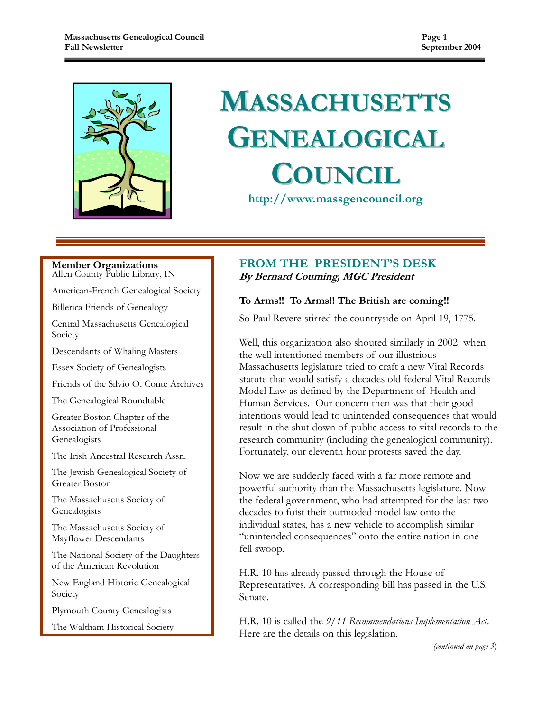

# MASSACHUSETTS GENEALOGICAL **COUNCIL**

http://www.massgencouncil.org

#### Member Organizations Allen County Public Library, IN

American-French Genealogical Society

Billerica Friends of Genealogy

Central Massachusetts Genealogical Society

Descendants of Whaling Masters

Essex Society of Genealogists

Friends of the Silvio O. Conte Archives

The Genealogical Roundtable

Greater Boston Chapter of the Association of Professional Genealogists

The Irish Ancestral Research Assn.

The Jewish Genealogical Society of Greater Boston

The Massachusetts Society of Genealogists

The Massachusetts Society of Mayflower Descendants

The National Society of the Daughters of the American Revolution

New England Historic Genealogical Society

Plymouth County Genealogists

The Waltham Historical Society

### FROM THE PRESIDENT'S DESK By Bernard Couming, MGC President

### To Arms!! To Arms!! The British are coming!!

So Paul Revere stirred the countryside on April 19, 1775.

Well, this organization also shouted similarly in 2002 when the well intentioned members of our illustrious Massachusetts legislature tried to craft a new Vital Records statute that would satisfy a decades old federal Vital Records Model Law as defined by the Department of Health and Human Services. Our concern then was that their good intentions would lead to unintended consequences that would result in the shut down of public access to vital records to the research community (including the genealogical community). Fortunately, our eleventh hour protests saved the day.

Now we are suddenly faced with a far more remote and powerful authority than the Massachusetts legislature. Now the federal government, who had attempted for the last two decades to foist their outmoded model law onto the individual states, has a new vehicle to accomplish similar "unintended consequences" onto the entire nation in one fell swoop.

H.R. 10 has already passed through the House of Representatives. A corresponding bill has passed in the U.S. Senate.

H.R. 10 is called the  $9/11$  Recommendations Implementation Act. Here are the details on this legislation.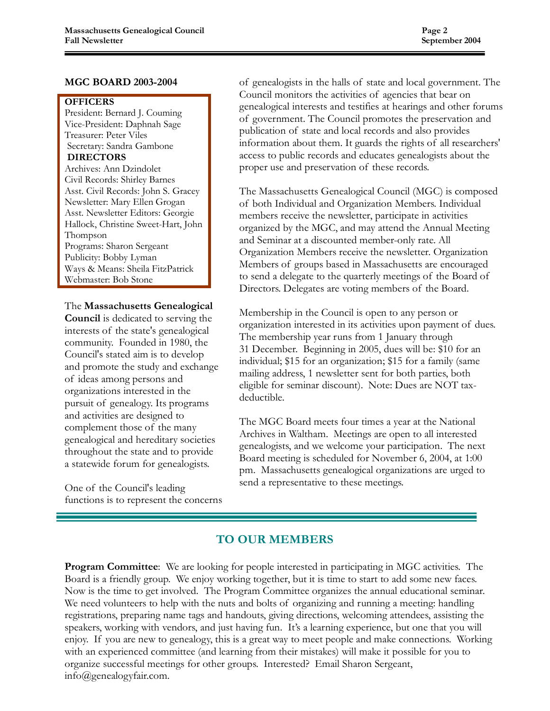### MGC BOARD 2003-2004

### **OFFICERS**

President: Bernard J. Couming Vice-President: Daphnah Sage Treasurer: Peter Viles Secretary: Sandra Gambone DIRECTORS

Archives: Ann Dzindolet Civil Records: Shirley Barnes Asst. Civil Records: John S. Gracey Newsletter: Mary Ellen Grogan Asst. Newsletter Editors: Georgie Hallock, Christine Sweet-Hart, John Thompson Programs: Sharon Sergeant Publicity: Bobby Lyman Ways & Means: Sheila FitzPatrick Webmaster: Bob Stone

The Massachusetts Genealogical

Council is dedicated to serving the interests of the state's genealogical community. Founded in 1980, the Council's stated aim is to develop and promote the study and exchange of ideas among persons and organizations interested in the pursuit of genealogy. Its programs and activities are designed to complement those of the many genealogical and hereditary societies throughout the state and to provide a statewide forum for genealogists.

One of the Council's leading functions is to represent the concerns of genealogists in the halls of state and local government. The Council monitors the activities of agencies that bear on genealogical interests and testifies at hearings and other forums of government. The Council promotes the preservation and publication of state and local records and also provides information about them. It guards the rights of all researchers' access to public records and educates genealogists about the proper use and preservation of these records.

The Massachusetts Genealogical Council (MGC) is composed of both Individual and Organization Members. Individual members receive the newsletter, participate in activities organized by the MGC, and may attend the Annual Meeting and Seminar at a discounted member-only rate. All Organization Members receive the newsletter. Organization Members of groups based in Massachusetts are encouraged to send a delegate to the quarterly meetings of the Board of Directors. Delegates are voting members of the Board.

Membership in the Council is open to any person or organization interested in its activities upon payment of dues. The membership year runs from 1 January through 31 December. Beginning in 2005, dues will be: \$10 for an individual; \$15 for an organization; \$15 for a family (same mailing address, 1 newsletter sent for both parties, both eligible for seminar discount). Note: Dues are NOT taxdeductible.

The MGC Board meets four times a year at the National Archives in Waltham. Meetings are open to all interested genealogists, and we welcome your participation. The next Board meeting is scheduled for November 6, 2004, at 1:00 pm. Massachusetts genealogical organizations are urged to send a representative to these meetings.

# TO OUR MEMBERS

Program Committee: We are looking for people interested in participating in MGC activities. The Board is a friendly group. We enjoy working together, but it is time to start to add some new faces. Now is the time to get involved. The Program Committee organizes the annual educational seminar. We need volunteers to help with the nuts and bolts of organizing and running a meeting: handling registrations, preparing name tags and handouts, giving directions, welcoming attendees, assisting the speakers, working with vendors, and just having fun. It's a learning experience, but one that you will enjoy. If you are new to genealogy, this is a great way to meet people and make connections. Working with an experienced committee (and learning from their mistakes) will make it possible for you to organize successful meetings for other groups. Interested? Email Sharon Sergeant, info@genealogyfair.com.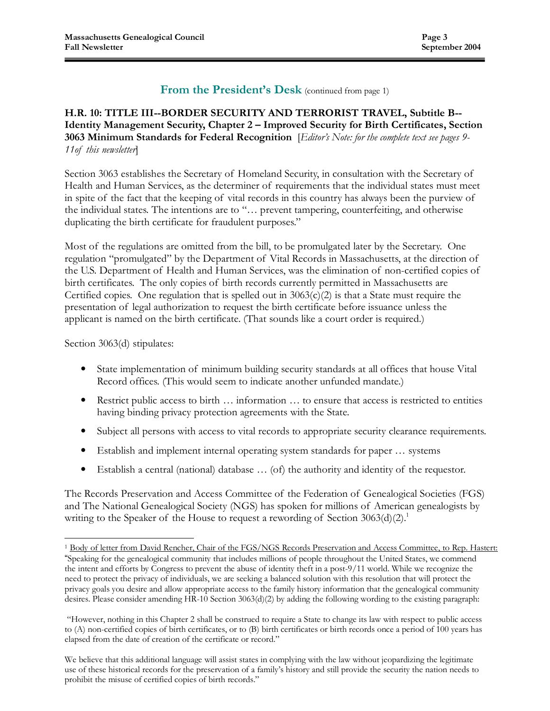### From the President's Desk (continued from page 1)

### H.R. 10: TITLE III--BORDER SECURITY AND TERRORIST TRAVEL, Subtitle B-- Identity Management Security, Chapter 2 – Improved Security for Birth Certificates, Section 3063 Minimum Standards for Federal Recognition [Editor's Note: for the complete text see pages 9-11of this newsletter

Section 3063 establishes the Secretary of Homeland Security, in consultation with the Secretary of Health and Human Services, as the determiner of requirements that the individual states must meet in spite of the fact that the keeping of vital records in this country has always been the purview of the individual states. The intentions are to "… prevent tampering, counterfeiting, and otherwise duplicating the birth certificate for fraudulent purposes."

Most of the regulations are omitted from the bill, to be promulgated later by the Secretary. One regulation "promulgated" by the Department of Vital Records in Massachusetts, at the direction of the U.S. Department of Health and Human Services, was the elimination of non-certified copies of birth certificates. The only copies of birth records currently permitted in Massachusetts are Certified copies. One regulation that is spelled out in  $3063(c)(2)$  is that a State must require the presentation of legal authorization to request the birth certificate before issuance unless the applicant is named on the birth certificate. (That sounds like a court order is required.)

Section 3063(d) stipulates:

 $\overline{a}$ 

- State implementation of minimum building security standards at all offices that house Vital Record offices. (This would seem to indicate another unfunded mandate.)
- Restrict public access to birth … information … to ensure that access is restricted to entities having binding privacy protection agreements with the State.
- Subject all persons with access to vital records to appropriate security clearance requirements.
- Establish and implement internal operating system standards for paper … systems
- Establish a central (national) database … (of) the authority and identity of the requestor.

The Records Preservation and Access Committee of the Federation of Genealogical Societies (FGS) and The National Genealogical Society (NGS) has spoken for millions of American genealogists by writing to the Speaker of the House to request a rewording of Section 3063(d)(2).<sup>1</sup>

<sup>&</sup>lt;sup>1</sup> Body of letter from David Rencher, Chair of the FGS/NGS Records Preservation and Access Committee, to Rep. Hastert:

<sup>&</sup>quot;Speaking for the genealogical community that includes millions of people throughout the United States, we commend the intent and efforts by Congress to prevent the abuse of identity theft in a post-9/11 world. While we recognize the need to protect the privacy of individuals, we are seeking a balanced solution with this resolution that will protect the privacy goals you desire and allow appropriate access to the family history information that the genealogical community desires. Please consider amending HR-10 Section 3063(d)(2) by adding the following wording to the existing paragraph:

 <sup>&</sup>quot;However, nothing in this Chapter 2 shall be construed to require a State to change its law with respect to public access to (A) non-certified copies of birth certificates, or to (B) birth certificates or birth records once a period of 100 years has elapsed from the date of creation of the certificate or record."

We believe that this additional language will assist states in complying with the law without jeopardizing the legitimate use of these historical records for the preservation of a family's history and still provide the security the nation needs to prohibit the misuse of certified copies of birth records."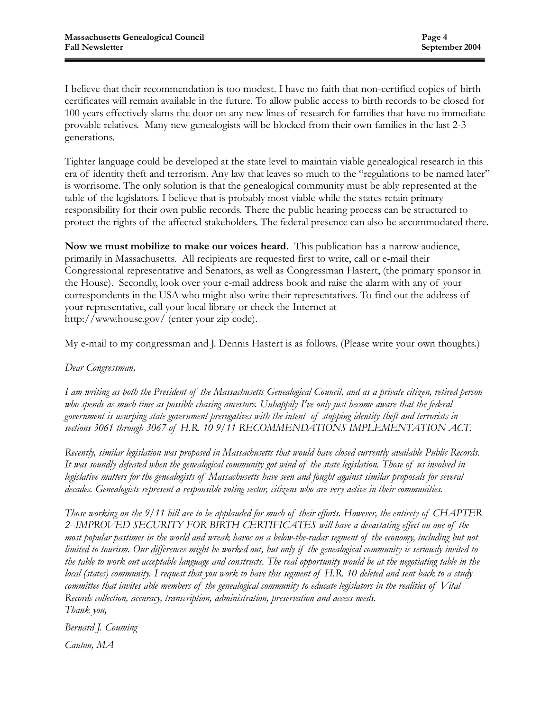I believe that their recommendation is too modest. I have no faith that non-certified copies of birth certificates will remain available in the future. To allow public access to birth records to be closed for 100 years effectively slams the door on any new lines of research for families that have no immediate provable relatives. Many new genealogists will be blocked from their own families in the last 2-3 generations.

Tighter language could be developed at the state level to maintain viable genealogical research in this era of identity theft and terrorism. Any law that leaves so much to the "regulations to be named later" is worrisome. The only solution is that the genealogical community must be ably represented at the table of the legislators. I believe that is probably most viable while the states retain primary responsibility for their own public records. There the public hearing process can be structured to protect the rights of the affected stakeholders. The federal presence can also be accommodated there.

Now we must mobilize to make our voices heard. This publication has a narrow audience, primarily in Massachusetts. All recipients are requested first to write, call or e-mail their Congressional representative and Senators, as well as Congressman Hastert, (the primary sponsor in the House). Secondly, look over your e-mail address book and raise the alarm with any of your correspondents in the USA who might also write their representatives. To find out the address of your representative, call your local library or check the Internet at http://www.house.gov/ (enter your zip code).

My e-mail to my congressman and J. Dennis Hastert is as follows. (Please write your own thoughts.)

### Dear Congressman,

I am writing as both the President of the Massachusetts Genealogical Council, and as a private citizen, retired person who spends as much time as possible chasing ancestors. Unhappily I've only just become aware that the federal government is usurping state government prerogatives with the intent of stopping identity theft and terrorists in sections 3061 through 3067 of H.R. 10 9/11 RECOMMENDATIONS IMPLEMENTATION ACT.

Recently, similar legislation was proposed in Massachusetts that would have closed currently available Public Records. It was soundly defeated when the genealogical community got wind of the state legislation. Those of us involved in legislative matters for the genealogists of Massachusetts have seen and fought against similar proposals for several decades. Genealogists represent a responsible voting sector, citizens who are very active in their communities.

Those working on the 9/11 bill are to be applauded for much of their efforts. However, the entirety of CHAPTER 2--IMPROVED SECURITY FOR BIRTH CERTIFICATES will have a devastating effect on one of the most popular pastimes in the world and wreak havoc on a below-the-radar segment of the economy, including but not limited to tourism. Our differences might be worked out, but only if the genealogical community is seriously invited to the table to work out acceptable language and constructs. The real opportunity would be at the negotiating table in the local (states) community. I request that you work to have this segment of H.R. 10 deleted and sent back to a study committee that invites able members of the genealogical community to educate legislators in the realities of Vital Records collection, accuracy, transcription, administration, preservation and access needs. Thank you,

Bernard J. Couming

Canton, MA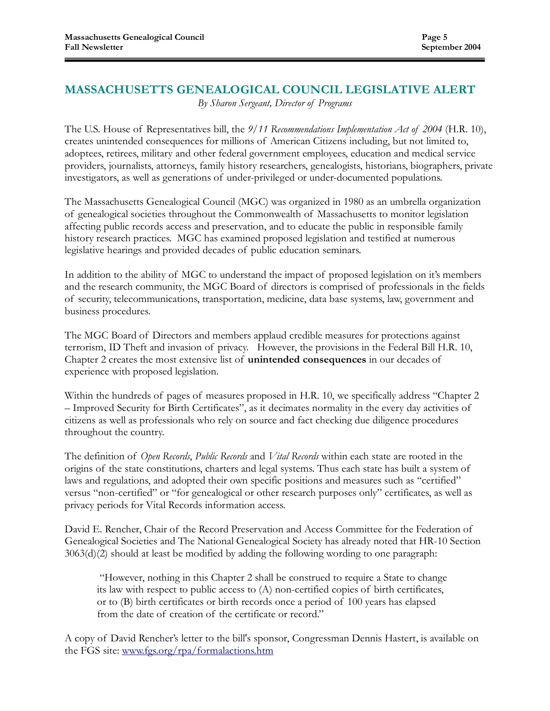# MASSACHUSETTS GENEALOGICAL COUNCIL LEGISLATIVE ALERT

By Sharon Sergeant, Director of Programs

The U.S. House of Representatives bill, the  $9/11$  Recommendations Implementation Act of 2004 (H.R. 10), creates unintended consequences for millions of American Citizens including, but not limited to, adoptees, retirees, military and other federal government employees, education and medical service providers, journalists, attorneys, family history researchers, genealogists, historians, biographers, private investigators, as well as generations of under-privileged or under-documented populations.

The Massachusetts Genealogical Council (MGC) was organized in 1980 as an umbrella organization of genealogical societies throughout the Commonwealth of Massachusetts to monitor legislation affecting public records access and preservation, and to educate the public in responsible family history research practices. MGC has examined proposed legislation and testified at numerous legislative hearings and provided decades of public education seminars.

In addition to the ability of MGC to understand the impact of proposed legislation on it's members and the research community, the MGC Board of directors is comprised of professionals in the fields of security, telecommunications, transportation, medicine, data base systems, law, government and business procedures.

The MGC Board of Directors and members applaud credible measures for protections against terrorism, ID Theft and invasion of privacy. However, the provisions in the Federal Bill H.R. 10, Chapter 2 creates the most extensive list of unintended consequences in our decades of experience with proposed legislation.

Within the hundreds of pages of measures proposed in H.R. 10, we specifically address "Chapter 2 – Improved Security for Birth Certificates", as it decimates normality in the every day activities of citizens as well as professionals who rely on source and fact checking due diligence procedures throughout the country.

The definition of Open Records, Public Records and Vital Records within each state are rooted in the origins of the state constitutions, charters and legal systems. Thus each state has built a system of laws and regulations, and adopted their own specific positions and measures such as "certified" versus "non-certified" or "for genealogical or other research purposes only" certificates, as well as privacy periods for Vital Records information access.

David E. Rencher, Chair of the Record Preservation and Access Committee for the Federation of Genealogical Societies and The National Genealogical Society has already noted that HR-10 Section 3063(d)(2) should at least be modified by adding the following wording to one paragraph:

 "However, nothing in this Chapter 2 shall be construed to require a State to change its law with respect to public access to (A) non-certified copies of birth certificates, or to (B) birth certificates or birth records once a period of 100 years has elapsed from the date of creation of the certificate or record."

A copy of David Rencher's letter to the bill's sponsor, Congressman Dennis Hastert, is available on the FGS site: www.fgs.org/rpa/formalactions.htm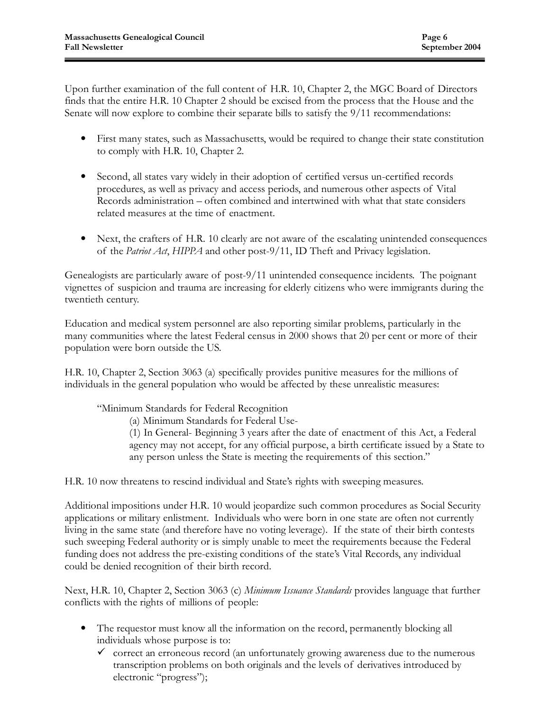Upon further examination of the full content of H.R. 10, Chapter 2, the MGC Board of Directors finds that the entire H.R. 10 Chapter 2 should be excised from the process that the House and the Senate will now explore to combine their separate bills to satisfy the 9/11 recommendations:

- First many states, such as Massachusetts, would be required to change their state constitution to comply with H.R. 10, Chapter 2.
- Second, all states vary widely in their adoption of certified versus un-certified records procedures, as well as privacy and access periods, and numerous other aspects of Vital Records administration – often combined and intertwined with what that state considers related measures at the time of enactment.
- Next, the crafters of H.R. 10 clearly are not aware of the escalating unintended consequences of the Patriot Act, HIPPA and other post-9/11, ID Theft and Privacy legislation.

Genealogists are particularly aware of post-9/11 unintended consequence incidents. The poignant vignettes of suspicion and trauma are increasing for elderly citizens who were immigrants during the twentieth century.

Education and medical system personnel are also reporting similar problems, particularly in the many communities where the latest Federal census in 2000 shows that 20 per cent or more of their population were born outside the US.

H.R. 10, Chapter 2, Section 3063 (a) specifically provides punitive measures for the millions of individuals in the general population who would be affected by these unrealistic measures:

"Minimum Standards for Federal Recognition

(a) Minimum Standards for Federal Use-

 (1) In General- Beginning 3 years after the date of enactment of this Act, a Federal agency may not accept, for any official purpose, a birth certificate issued by a State to any person unless the State is meeting the requirements of this section."

H.R. 10 now threatens to rescind individual and State's rights with sweeping measures.

Additional impositions under H.R. 10 would jeopardize such common procedures as Social Security applications or military enlistment. Individuals who were born in one state are often not currently living in the same state (and therefore have no voting leverage). If the state of their birth contests such sweeping Federal authority or is simply unable to meet the requirements because the Federal funding does not address the pre-existing conditions of the state's Vital Records, any individual could be denied recognition of their birth record.

Next, H.R. 10, Chapter 2, Section 3063 (c) *Minimum Issuance Standards* provides language that further conflicts with the rights of millions of people:

- The requestor must know all the information on the record, permanently blocking all individuals whose purpose is to:
	- $\checkmark$  correct an erroneous record (an unfortunately growing awareness due to the numerous transcription problems on both originals and the levels of derivatives introduced by electronic "progress");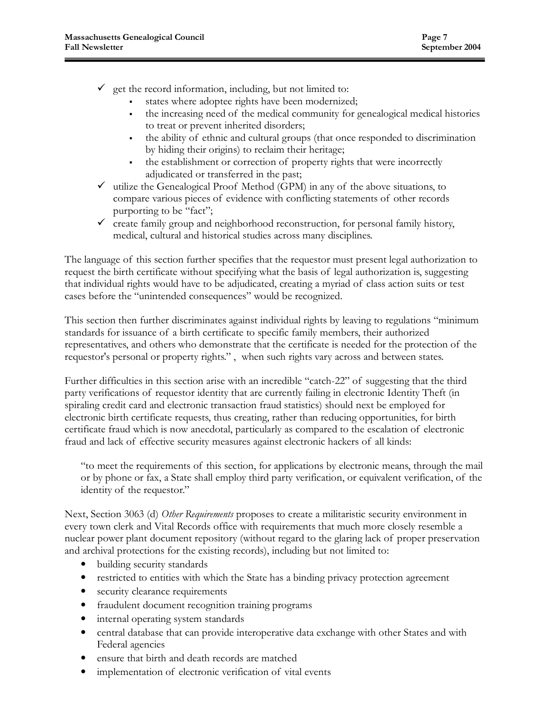- $\checkmark$  get the record information, including, but not limited to:
	- states where adoptee rights have been modernized;
	- the increasing need of the medical community for genealogical medical histories to treat or prevent inherited disorders;
	- the ability of ethnic and cultural groups (that once responded to discrimination by hiding their origins) to reclaim their heritage;
	- the establishment or correction of property rights that were incorrectly adjudicated or transferred in the past;
- $\checkmark$  utilize the Genealogical Proof Method (GPM) in any of the above situations, to compare various pieces of evidence with conflicting statements of other records purporting to be "fact";
- $\checkmark$  create family group and neighborhood reconstruction, for personal family history, medical, cultural and historical studies across many disciplines.

The language of this section further specifies that the requestor must present legal authorization to request the birth certificate without specifying what the basis of legal authorization is, suggesting that individual rights would have to be adjudicated, creating a myriad of class action suits or test cases before the "unintended consequences" would be recognized.

This section then further discriminates against individual rights by leaving to regulations "minimum standards for issuance of a birth certificate to specific family members, their authorized representatives, and others who demonstrate that the certificate is needed for the protection of the requestor's personal or property rights." , when such rights vary across and between states.

Further difficulties in this section arise with an incredible "catch-22" of suggesting that the third party verifications of requestor identity that are currently failing in electronic Identity Theft (in spiraling credit card and electronic transaction fraud statistics) should next be employed for electronic birth certificate requests, thus creating, rather than reducing opportunities, for birth certificate fraud which is now anecdotal, particularly as compared to the escalation of electronic fraud and lack of effective security measures against electronic hackers of all kinds:

"to meet the requirements of this section, for applications by electronic means, through the mail or by phone or fax, a State shall employ third party verification, or equivalent verification, of the identity of the requestor."

Next, Section 3063 (d) Other Requirements proposes to create a militaristic security environment in every town clerk and Vital Records office with requirements that much more closely resemble a nuclear power plant document repository (without regard to the glaring lack of proper preservation and archival protections for the existing records), including but not limited to:

- building security standards
- restricted to entities with which the State has a binding privacy protection agreement
- security clearance requirements
- fraudulent document recognition training programs
- internal operating system standards
- central database that can provide interoperative data exchange with other States and with Federal agencies
- ensure that birth and death records are matched
- implementation of electronic verification of vital events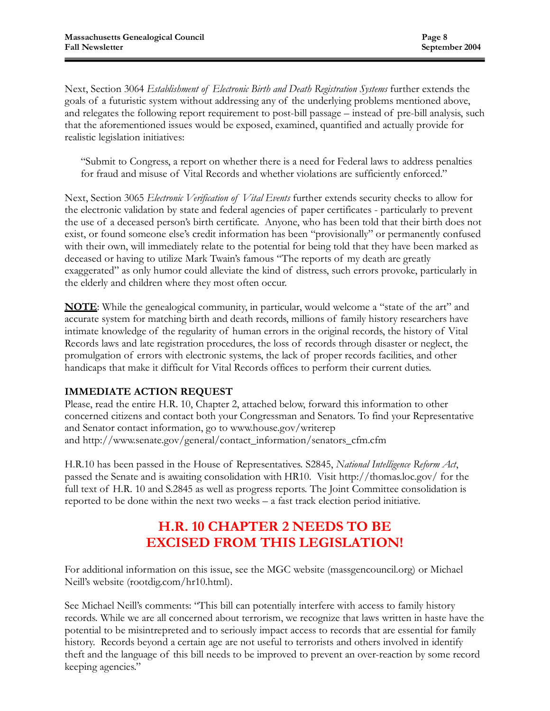Next, Section 3064 Establishment of Electronic Birth and Death Registration Systems further extends the goals of a futuristic system without addressing any of the underlying problems mentioned above, and relegates the following report requirement to post-bill passage – instead of pre-bill analysis, such that the aforementioned issues would be exposed, examined, quantified and actually provide for realistic legislation initiatives:

"Submit to Congress, a report on whether there is a need for Federal laws to address penalties for fraud and misuse of Vital Records and whether violations are sufficiently enforced."

Next, Section 3065 Electronic Verification of Vital Events further extends security checks to allow for the electronic validation by state and federal agencies of paper certificates - particularly to prevent the use of a deceased person's birth certificate. Anyone, who has been told that their birth does not exist, or found someone else's credit information has been "provisionally" or permanently confused with their own, will immediately relate to the potential for being told that they have been marked as deceased or having to utilize Mark Twain's famous "The reports of my death are greatly exaggerated" as only humor could alleviate the kind of distress, such errors provoke, particularly in the elderly and children where they most often occur.

NOTE: While the genealogical community, in particular, would welcome a "state of the art" and accurate system for matching birth and death records, millions of family history researchers have intimate knowledge of the regularity of human errors in the original records, the history of Vital Records laws and late registration procedures, the loss of records through disaster or neglect, the promulgation of errors with electronic systems, the lack of proper records facilities, and other handicaps that make it difficult for Vital Records offices to perform their current duties.

### IMMEDIATE ACTION REQUEST

Please, read the entire H.R. 10, Chapter 2, attached below, forward this information to other concerned citizens and contact both your Congressman and Senators. To find your Representative and Senator contact information, go to www.house.gov/writerep and http://www.senate.gov/general/contact\_information/senators\_cfm.cfm

H.R.10 has been passed in the House of Representatives. S2845, National Intelligence Reform Act, passed the Senate and is awaiting consolidation with HR10. Visit http://thomas.loc.gov/ for the full text of H.R. 10 and S.2845 as well as progress reports. The Joint Committee consolidation is reported to be done within the next two weeks – a fast track election period initiative.

# H.R. 10 CHAPTER 2 NEEDS TO BE EXCISED FROM THIS LEGISLATION!

For additional information on this issue, see the MGC website (massgencouncil.org) or Michael Neill's website (rootdig.com/hr10.html).

See Michael Neill's comments: "This bill can potentially interfere with access to family history records. While we are all concerned about terrorism, we recognize that laws written in haste have the potential to be misintrepreted and to seriously impact access to records that are essential for family history. Records beyond a certain age are not useful to terrorists and others involved in identify theft and the language of this bill needs to be improved to prevent an over-reaction by some record keeping agencies."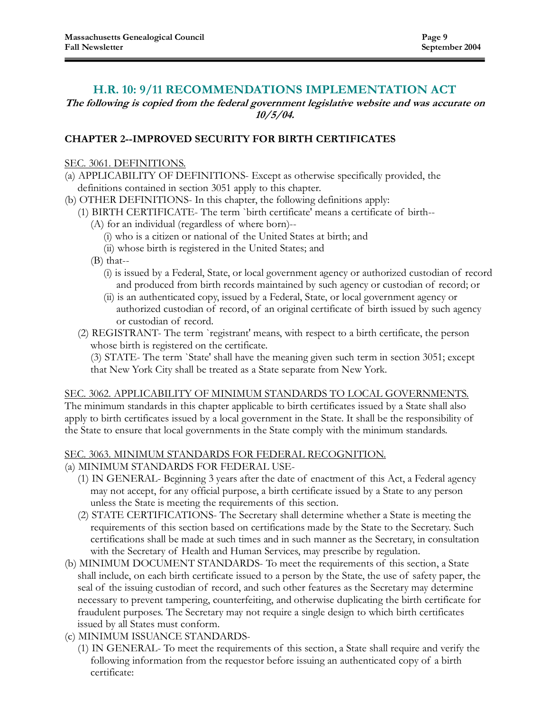### H.R. 10: 9/11 RECOMMENDATIONS IMPLEMENTATION ACT

The following is copied from the federal government legislative website and was accurate on 10/5/04.

### CHAPTER 2--IMPROVED SECURITY FOR BIRTH CERTIFICATES

### SEC. 3061. DEFINITIONS.

- (a) APPLICABILITY OF DEFINITIONS- Except as otherwise specifically provided, the definitions contained in section 3051 apply to this chapter.
- (b) OTHER DEFINITIONS- In this chapter, the following definitions apply:
	- (1) BIRTH CERTIFICATE- The term `birth certificate' means a certificate of birth--
		- (A) for an individual (regardless of where born)--
			- (i) who is a citizen or national of the United States at birth; and
			- (ii) whose birth is registered in the United States; and
		- (B) that--
			- (i) is issued by a Federal, State, or local government agency or authorized custodian of record and produced from birth records maintained by such agency or custodian of record; or
			- (ii) is an authenticated copy, issued by a Federal, State, or local government agency or authorized custodian of record, of an original certificate of birth issued by such agency or custodian of record.
	- (2) REGISTRANT- The term `registrant' means, with respect to a birth certificate, the person whose birth is registered on the certificate.

 (3) STATE- The term `State' shall have the meaning given such term in section 3051; except that New York City shall be treated as a State separate from New York.

### SEC. 3062. APPLICABILITY OF MINIMUM STANDARDS TO LOCAL GOVERNMENTS.

The minimum standards in this chapter applicable to birth certificates issued by a State shall also apply to birth certificates issued by a local government in the State. It shall be the responsibility of the State to ensure that local governments in the State comply with the minimum standards.

### SEC. 3063. MINIMUM STANDARDS FOR FEDERAL RECOGNITION.

- (a) MINIMUM STANDARDS FOR FEDERAL USE-
	- (1) IN GENERAL- Beginning 3 years after the date of enactment of this Act, a Federal agency may not accept, for any official purpose, a birth certificate issued by a State to any person unless the State is meeting the requirements of this section.
	- (2) STATE CERTIFICATIONS- The Secretary shall determine whether a State is meeting the requirements of this section based on certifications made by the State to the Secretary. Such certifications shall be made at such times and in such manner as the Secretary, in consultation with the Secretary of Health and Human Services, may prescribe by regulation.
- (b) MINIMUM DOCUMENT STANDARDS- To meet the requirements of this section, a State shall include, on each birth certificate issued to a person by the State, the use of safety paper, the seal of the issuing custodian of record, and such other features as the Secretary may determine necessary to prevent tampering, counterfeiting, and otherwise duplicating the birth certificate for fraudulent purposes. The Secretary may not require a single design to which birth certificates issued by all States must conform.
- (c) MINIMUM ISSUANCE STANDARDS-
	- (1) IN GENERAL- To meet the requirements of this section, a State shall require and verify the following information from the requestor before issuing an authenticated copy of a birth certificate: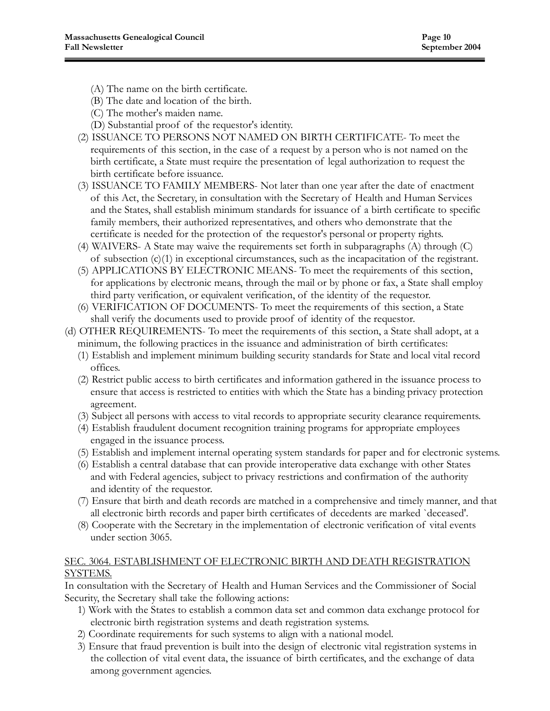- (A) The name on the birth certificate.
- (B) The date and location of the birth.
- (C) The mother's maiden name.
- (D) Substantial proof of the requestor's identity.
- (2) ISSUANCE TO PERSONS NOT NAMED ON BIRTH CERTIFICATE- To meet the requirements of this section, in the case of a request by a person who is not named on the birth certificate, a State must require the presentation of legal authorization to request the birth certificate before issuance.
- (3) ISSUANCE TO FAMILY MEMBERS- Not later than one year after the date of enactment of this Act, the Secretary, in consultation with the Secretary of Health and Human Services and the States, shall establish minimum standards for issuance of a birth certificate to specific family members, their authorized representatives, and others who demonstrate that the certificate is needed for the protection of the requestor's personal or property rights.
- (4) WAIVERS- A State may waive the requirements set forth in subparagraphs (A) through (C) of subsection  $(c)(1)$  in exceptional circumstances, such as the incapacitation of the registrant.
- (5) APPLICATIONS BY ELECTRONIC MEANS- To meet the requirements of this section, for applications by electronic means, through the mail or by phone or fax, a State shall employ third party verification, or equivalent verification, of the identity of the requestor.
- (6) VERIFICATION OF DOCUMENTS- To meet the requirements of this section, a State shall verify the documents used to provide proof of identity of the requestor.
- (d) OTHER REQUIREMENTS- To meet the requirements of this section, a State shall adopt, at a minimum, the following practices in the issuance and administration of birth certificates:
	- (1) Establish and implement minimum building security standards for State and local vital record offices.
	- (2) Restrict public access to birth certificates and information gathered in the issuance process to ensure that access is restricted to entities with which the State has a binding privacy protection agreement.
	- (3) Subject all persons with access to vital records to appropriate security clearance requirements.
	- (4) Establish fraudulent document recognition training programs for appropriate employees engaged in the issuance process.
	- (5) Establish and implement internal operating system standards for paper and for electronic systems.
	- (6) Establish a central database that can provide interoperative data exchange with other States and with Federal agencies, subject to privacy restrictions and confirmation of the authority and identity of the requestor.
	- (7) Ensure that birth and death records are matched in a comprehensive and timely manner, and that all electronic birth records and paper birth certificates of decedents are marked `deceased'.
	- (8) Cooperate with the Secretary in the implementation of electronic verification of vital events under section 3065.

### SEC. 3064. ESTABLISHMENT OF ELECTRONIC BIRTH AND DEATH REGISTRATION SYSTEMS.

In consultation with the Secretary of Health and Human Services and the Commissioner of Social Security, the Secretary shall take the following actions:

- 1) Work with the States to establish a common data set and common data exchange protocol for electronic birth registration systems and death registration systems.
- 2) Coordinate requirements for such systems to align with a national model.
- 3) Ensure that fraud prevention is built into the design of electronic vital registration systems in the collection of vital event data, the issuance of birth certificates, and the exchange of data among government agencies.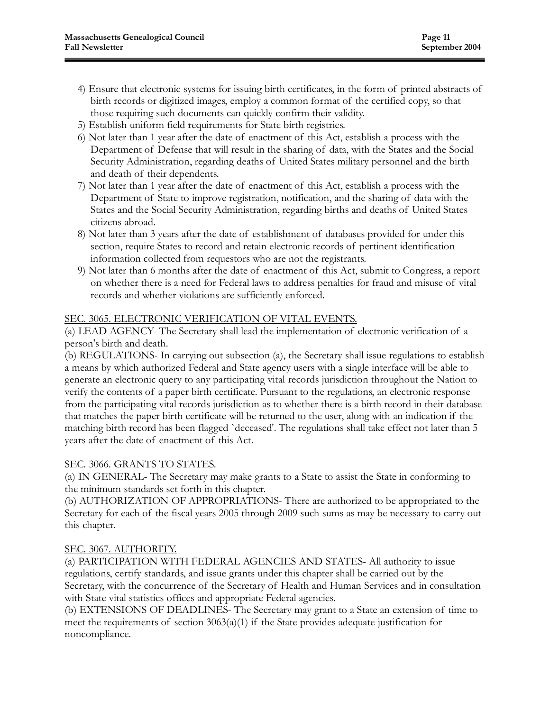- 4) Ensure that electronic systems for issuing birth certificates, in the form of printed abstracts of birth records or digitized images, employ a common format of the certified copy, so that those requiring such documents can quickly confirm their validity.
- 5) Establish uniform field requirements for State birth registries.
- 6) Not later than 1 year after the date of enactment of this Act, establish a process with the Department of Defense that will result in the sharing of data, with the States and the Social Security Administration, regarding deaths of United States military personnel and the birth and death of their dependents.
- 7) Not later than 1 year after the date of enactment of this Act, establish a process with the Department of State to improve registration, notification, and the sharing of data with the States and the Social Security Administration, regarding births and deaths of United States citizens abroad.
- 8) Not later than 3 years after the date of establishment of databases provided for under this section, require States to record and retain electronic records of pertinent identification information collected from requestors who are not the registrants.
- 9) Not later than 6 months after the date of enactment of this Act, submit to Congress, a report on whether there is a need for Federal laws to address penalties for fraud and misuse of vital records and whether violations are sufficiently enforced.

### SEC. 3065. ELECTRONIC VERIFICATION OF VITAL EVENTS.

(a) LEAD AGENCY- The Secretary shall lead the implementation of electronic verification of a person's birth and death.

(b) REGULATIONS- In carrying out subsection (a), the Secretary shall issue regulations to establish a means by which authorized Federal and State agency users with a single interface will be able to generate an electronic query to any participating vital records jurisdiction throughout the Nation to verify the contents of a paper birth certificate. Pursuant to the regulations, an electronic response from the participating vital records jurisdiction as to whether there is a birth record in their database that matches the paper birth certificate will be returned to the user, along with an indication if the matching birth record has been flagged `deceased'. The regulations shall take effect not later than 5 years after the date of enactment of this Act.

### SEC. 3066. GRANTS TO STATES.

(a) IN GENERAL- The Secretary may make grants to a State to assist the State in conforming to the minimum standards set forth in this chapter.

(b) AUTHORIZATION OF APPROPRIATIONS- There are authorized to be appropriated to the Secretary for each of the fiscal years 2005 through 2009 such sums as may be necessary to carry out this chapter.

### SEC. 3067. AUTHORITY.

(a) PARTICIPATION WITH FEDERAL AGENCIES AND STATES- All authority to issue regulations, certify standards, and issue grants under this chapter shall be carried out by the Secretary, with the concurrence of the Secretary of Health and Human Services and in consultation with State vital statistics offices and appropriate Federal agencies.

(b) EXTENSIONS OF DEADLINES- The Secretary may grant to a State an extension of time to meet the requirements of section 3063(a)(1) if the State provides adequate justification for noncompliance.